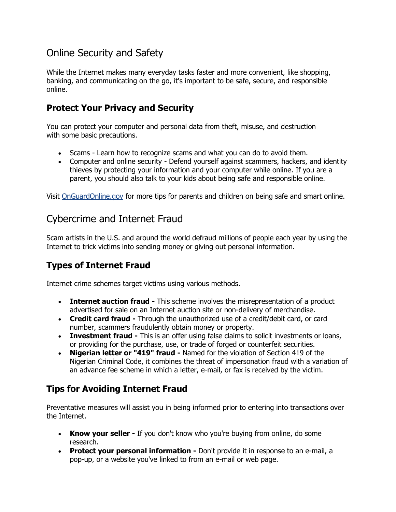# Online Security and Safety

While the Internet makes many everyday tasks faster and more convenient, like shopping, banking, and communicating on the go, it's important to be safe, secure, and responsible online.

### **Protect Your Privacy and Security**

You can protect your computer and personal data from theft, misuse, and destruction with some basic precautions.

- Scams Learn how to recognize scams and what you can do to avoid them.
- Computer and online security Defend yourself against scammers, hackers, and identity thieves by protecting your information and your computer while online. If you are a parent, you should also talk to your kids about being safe and responsible online.

Visit [OnGuardOnline.gov](http://www.onguardonline.gov/) for more tips for parents and children on being safe and smart online.

# Cybercrime and Internet Fraud

Scam artists in the U.S. and around the world defraud millions of people each year by using the Internet to trick victims into sending money or giving out personal information.

# **Types of Internet Fraud**

Internet crime schemes target victims using various methods.

- **Internet auction fraud -** This scheme involves the misrepresentation of a product advertised for sale on an Internet auction site or non-delivery of merchandise.
- **Credit card fraud -** Through the unauthorized use of a credit/debit card, or card number, scammers fraudulently obtain money or property.
- **Investment fraud -** This is an offer using false claims to solicit investments or loans, or providing for the purchase, use, or trade of forged or counterfeit securities.
- **Nigerian letter or "419" fraud -** Named for the violation of Section 419 of the Nigerian Criminal Code, it combines the threat of impersonation fraud with a variation of an advance fee scheme in which a letter, e-mail, or fax is received by the victim.

# **Tips for Avoiding Internet Fraud**

Preventative measures will assist you in being informed prior to entering into transactions over the Internet.

- **Know your seller -** If you don't know who you're buying from online, do some research.
- **Protect your personal information -** Don't provide it in response to an e-mail, a pop-up, or a website you've linked to from an e-mail or web page.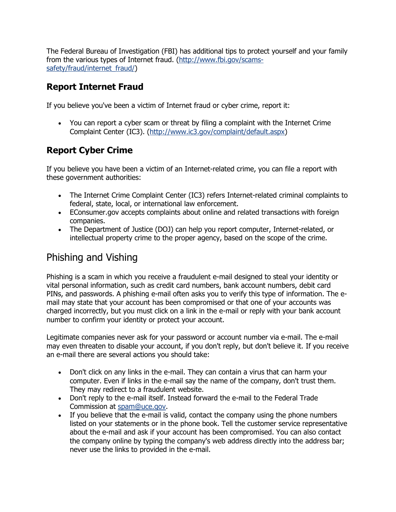The Federal Bureau of Investigation (FBI) has additional tips to protect yourself and your family from the various types of Internet fraud. [\(http://www.fbi.gov/scams](http://www.fbi.gov/scams-safety/fraud/internet_fraud/)[safety/fraud/internet\\_fraud/\)](http://www.fbi.gov/scams-safety/fraud/internet_fraud/)

### **Report Internet Fraud**

If you believe you've been a victim of Internet fraud or cyber crime, report it:

 You can report a cyber scam or threat by filing a complaint with the Internet Crime Complaint Center (IC3). [\(http://www.ic3.gov/complaint/default.aspx\)](http://www.ic3.gov/complaint/default.aspx)

## **Report Cyber Crime**

If you believe you have been a victim of an Internet-related crime, you can file a report with these government authorities:

- The Internet Crime Complaint Center (IC3) refers Internet-related criminal complaints to federal, state, local, or international law enforcement.
- EConsumer.gov accepts complaints about online and related transactions with foreign companies.
- The Department of Justice (DOJ) can help you report computer, Internet-related, or intellectual property crime to the proper agency, based on the scope of the crime.

# Phishing and Vishing

Phishing is a scam in which you receive a fraudulent e-mail designed to steal your identity or vital personal information, such as credit card numbers, bank account numbers, debit card PINs, and passwords. A phishing e-mail often asks you to verify this type of information. The email may state that your account has been compromised or that one of your accounts was charged incorrectly, but you must click on a link in the e-mail or reply with your bank account number to confirm your identity or protect your account.

Legitimate companies never ask for your password or account number via e-mail. The e-mail may even threaten to disable your account, if you don't reply, but don't believe it. If you receive an e-mail there are several actions you should take:

- Don't click on any links in the e-mail. They can contain a virus that can harm your computer. Even if links in the e-mail say the name of the company, don't trust them. They may redirect to a fraudulent website.
- Don't reply to the e-mail itself. Instead forward the e-mail to the Federal Trade Commission at [spam@uce.gov.](mailto:spam@uce.gov)
- If you believe that the e-mail is valid, contact the company using the phone numbers listed on your statements or in the phone book. Tell the customer service representative about the e-mail and ask if your account has been compromised. You can also contact the company online by typing the company's web address directly into the address bar; never use the links to provided in the e-mail.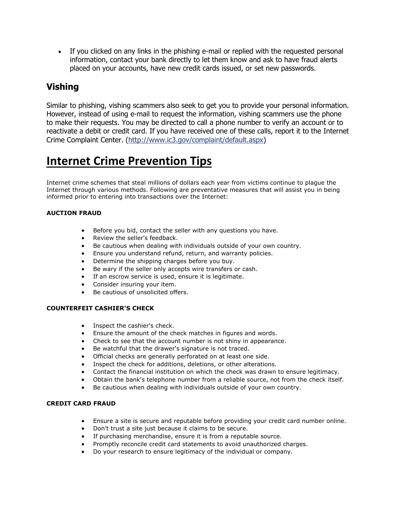If you clicked on any links in the phishing e-mail or replied with the requested personal information, contact your bank directly to let them know and ask to have fraud alerts placed on your accounts, have new credit cards issued, or set new passwords.

### **Vishing**

Similar to phishing, vishing scammers also seek to get you to provide your personal information. However, instead of using e-mail to request the information, vishing scammers use the phone to make their requests. You may be directed to call a phone number to verify an account or to reactivate a debit or credit card. If you have received one of these calls, report it to the Internet Crime Complaint Center. [\(http://www.ic3.gov/complaint/default.aspx\)](http://www.ic3.gov/complaint/default.aspx)

# **Internet Crime Prevention Tips**

Internet crime schemes that steal millions of dollars each year from victims continue to plague the Internet through various methods. Following are preventative measures that will assist you in being informed prior to entering into transactions over the Internet:

### **AUCTION FRAUD**

- Before you bid, contact the seller with any questions you have.
- Review the seller's feedback.
- Be cautious when dealing with individuals outside of your own country.
- Ensure you understand refund, return, and warranty policies.
- Determine the shipping charges before you buy.
- Be wary if the seller only accepts wire transfers or cash.
- If an escrow service is used, ensure it is legitimate.
- Consider insuring your item.
- Be cautious of unsolicited offers.

### **COUNTERFEIT CASHIER'S CHECK**

- Inspect the cashier's check.
- Ensure the amount of the check matches in figures and words.
- Check to see that the account number is not shiny in appearance.
- Be watchful that the drawer's signature is not traced.
- Official checks are generally perforated on at least one side.
- Inspect the check for additions, deletions, or other alterations.
- Contact the financial institution on which the check was drawn to ensure legitimacy.
- Obtain the bank's telephone number from a reliable source, not from the check itself.
- Be cautious when dealing with individuals outside of your own country.

### **CREDIT CARD FRAUD**

- Ensure a site is secure and reputable before providing your credit card number online.
- Don't trust a site just because it claims to be secure.
- If purchasing merchandise, ensure it is from a reputable source.
- Promptly reconcile credit card statements to avoid unauthorized charges.
- Do your research to ensure legitimacy of the individual or company.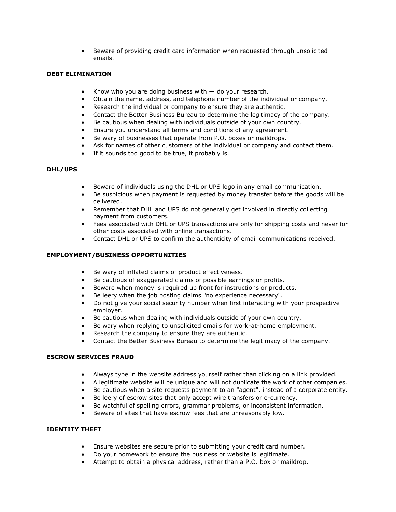Beware of providing credit card information when requested through unsolicited emails.

#### **DEBT ELIMINATION**

- Know who you are doing business with  $-$  do your research.
- Obtain the name, address, and telephone number of the individual or company.
- Research the individual or company to ensure they are authentic.
- Contact the Better Business Bureau to determine the legitimacy of the company.
- Be cautious when dealing with individuals outside of your own country.
- Ensure you understand all terms and conditions of any agreement.
- Be wary of businesses that operate from P.O. boxes or maildrops.
- Ask for names of other customers of the individual or company and contact them.
- If it sounds too good to be true, it probably is.

#### **DHL/UPS**

- Beware of individuals using the DHL or UPS logo in any email communication.
- Be suspicious when payment is requested by money transfer before the goods will be delivered.
- Remember that DHL and UPS do not generally get involved in directly collecting payment from customers.
- Fees associated with DHL or UPS transactions are only for shipping costs and never for other costs associated with online transactions.
- Contact DHL or UPS to confirm the authenticity of email communications received.

#### **EMPLOYMENT/BUSINESS OPPORTUNITIES**

- Be wary of inflated claims of product effectiveness.
- Be cautious of exaggerated claims of possible earnings or profits.
- Beware when money is required up front for instructions or products.
- Be leery when the job posting claims "no experience necessary".
- Do not give your social security number when first interacting with your prospective employer.
- Be cautious when dealing with individuals outside of your own country.
- Be wary when replying to unsolicited emails for work-at-home employment.
- Research the company to ensure they are authentic.
- Contact the Better Business Bureau to determine the legitimacy of the company.

#### **ESCROW SERVICES FRAUD**

- Always type in the website address yourself rather than clicking on a link provided.
- A legitimate website will be unique and will not duplicate the work of other companies.
- Be cautious when a site requests payment to an "agent", instead of a corporate entity.
- Be leery of escrow sites that only accept wire transfers or e-currency.
- Be watchful of spelling errors, grammar problems, or inconsistent information.
- Beware of sites that have escrow fees that are unreasonably low.

#### **IDENTITY THEFT**

- Ensure websites are secure prior to submitting your credit card number.
- Do your homework to ensure the business or website is legitimate.
- Attempt to obtain a physical address, rather than a P.O. box or maildrop.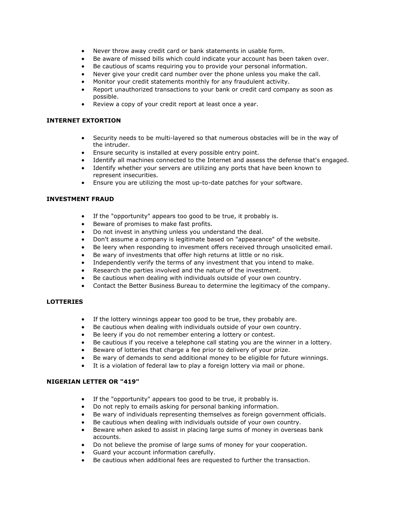- Never throw away credit card or bank statements in usable form.
- Be aware of missed bills which could indicate your account has been taken over.
- Be cautious of scams requiring you to provide your personal information.
- Never give your credit card number over the phone unless you make the call.
- Monitor your credit statements monthly for any fraudulent activity.
- Report unauthorized transactions to your bank or credit card company as soon as possible.
- Review a copy of your credit report at least once a year.

#### **INTERNET EXTORTION**

- Security needs to be multi-layered so that numerous obstacles will be in the way of the intruder.
- Ensure security is installed at every possible entry point.
- Identify all machines connected to the Internet and assess the defense that's engaged.
- Identify whether your servers are utilizing any ports that have been known to represent insecurities.
- Ensure you are utilizing the most up-to-date patches for your software.

#### **INVESTMENT FRAUD**

- If the "opportunity" appears too good to be true, it probably is.
- **Beware of promises to make fast profits.**
- Do not invest in anything unless you understand the deal.
- Don't assume a company is legitimate based on "appearance" of the website.
- Be leery when responding to invesment offers received through unsolicited email.
- Be wary of investments that offer high returns at little or no risk.
- Independently verify the terms of any investment that you intend to make.
- Research the parties involved and the nature of the investment.
- Be cautious when dealing with individuals outside of your own country.
- Contact the Better Business Bureau to determine the legitimacy of the company.

#### **LOTTERIES**

- If the lottery winnings appear too good to be true, they probably are.
- Be cautious when dealing with individuals outside of your own country.
- Be leery if you do not remember entering a lottery or contest.
- Be cautious if you receive a telephone call stating you are the winner in a lottery.
- Beware of lotteries that charge a fee prior to delivery of your prize.
- Be wary of demands to send additional money to be eligible for future winnings.
- It is a violation of federal law to play a foreign lottery via mail or phone.

### **NIGERIAN LETTER OR "419"**

- If the "opportunity" appears too good to be true, it probably is.
- Do not reply to emails asking for personal banking information.
- Be wary of individuals representing themselves as foreign government officials.
- Be cautious when dealing with individuals outside of your own country.
- Beware when asked to assist in placing large sums of money in overseas bank accounts.
- Do not believe the promise of large sums of money for your cooperation.
- Guard your account information carefully.
- Be cautious when additional fees are requested to further the transaction.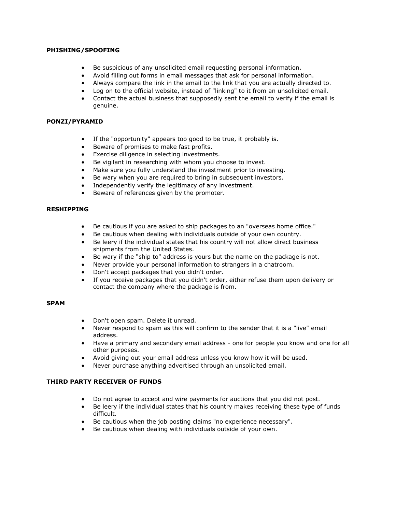#### **PHISHING/SPOOFING**

- Be suspicious of any unsolicited email requesting personal information.
- Avoid filling out forms in email messages that ask for personal information.
- Always compare the link in the email to the link that you are actually directed to.
- Log on to the official website, instead of "linking" to it from an unsolicited email.
- Contact the actual business that supposedly sent the email to verify if the email is genuine.

#### **PONZI/PYRAMID**

- If the "opportunity" appears too good to be true, it probably is.
- Beware of promises to make fast profits.
- Exercise diligence in selecting investments.
- Be vigilant in researching with whom you choose to invest.
- Make sure you fully understand the investment prior to investing.
- Be wary when you are required to bring in subsequent investors.
- Independently verify the legitimacy of any investment.
- **Beware of references given by the promoter.**

### **RESHIPPING**

- Be cautious if you are asked to ship packages to an "overseas home office."
- Be cautious when dealing with individuals outside of your own country.
- Be leery if the individual states that his country will not allow direct business shipments from the United States.
- Be wary if the "ship to" address is yours but the name on the package is not.
- Never provide your personal information to strangers in a chatroom.
- Don't accept packages that you didn't order.
- If you receive packages that you didn't order, either refuse them upon delivery or contact the company where the package is from.

#### **SPAM**

- Don't open spam. Delete it unread.
- Never respond to spam as this will confirm to the sender that it is a "live" email address.
- Have a primary and secondary email address one for people you know and one for all other purposes.
- Avoid giving out your email address unless you know how it will be used.
- Never purchase anything advertised through an unsolicited email.

### **THIRD PARTY RECEIVER OF FUNDS**

- Do not agree to accept and wire payments for auctions that you did not post.
- Be leery if the individual states that his country makes receiving these type of funds difficult.
- Be cautious when the job posting claims "no experience necessary".
- Be cautious when dealing with individuals outside of your own.